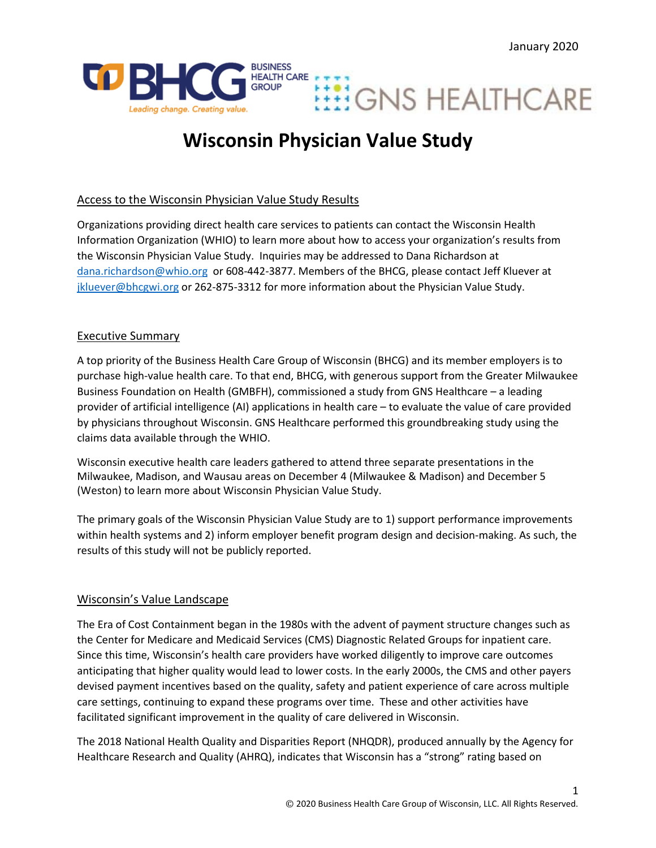



# **Wisconsin Physician Value Study**

# Access to the Wisconsin Physician Value Study Results

Organizations providing direct health care services to patients can contact the Wisconsin Health Information Organization (WHIO) to learn more about how to access your organization's results from the Wisconsin Physician Value Study. Inquiries may be addressed to Dana Richardson at [dana.richardson@whio.org](mailto:dana.richardson@whio.org) or 608-442-3877. Members of the BHCG, please contact Jeff Kluever at [jkluever@bhcgwi.org](mailto:jkluever@bhcgwi.org) or 262-875-3312 for more information about the Physician Value Study.

## Executive Summary

A top priority of the Business Health Care Group of Wisconsin (BHCG) and its member employers is to purchase high-value health care. To that end, BHCG, with generous support from the Greater Milwaukee Business Foundation on Health (GMBFH), commissioned a study from GNS Healthcare – a leading provider of artificial intelligence (AI) applications in health care – to evaluate the value of care provided by physicians throughout Wisconsin. GNS Healthcare performed this groundbreaking study using the claims data available through the WHIO.

Wisconsin executive health care leaders gathered to attend three separate presentations in the Milwaukee, Madison, and Wausau areas on December 4 (Milwaukee & Madison) and December 5 (Weston) to learn more about Wisconsin Physician Value Study.

The primary goals of the Wisconsin Physician Value Study are to 1) support performance improvements within health systems and 2) inform employer benefit program design and decision-making. As such, the results of this study will not be publicly reported.

## Wisconsin's Value Landscape

The Era of Cost Containment began in the 1980s with the advent of payment structure changes such as the Center for Medicare and Medicaid Services (CMS) Diagnostic Related Groups for inpatient care. Since this time, Wisconsin's health care providers have worked diligently to improve care outcomes anticipating that higher quality would lead to lower costs. In the early 2000s, the CMS and other payers devised payment incentives based on the quality, safety and patient experience of care across multiple care settings, continuing to expand these programs over time. These and other activities have facilitated significant improvement in the quality of care delivered in Wisconsin.

The 2018 National Health Quality and Disparities Report (NHQDR), produced annually by the Agency for Healthcare Research and Quality (AHRQ), indicates that Wisconsin has a "strong" rating based on

1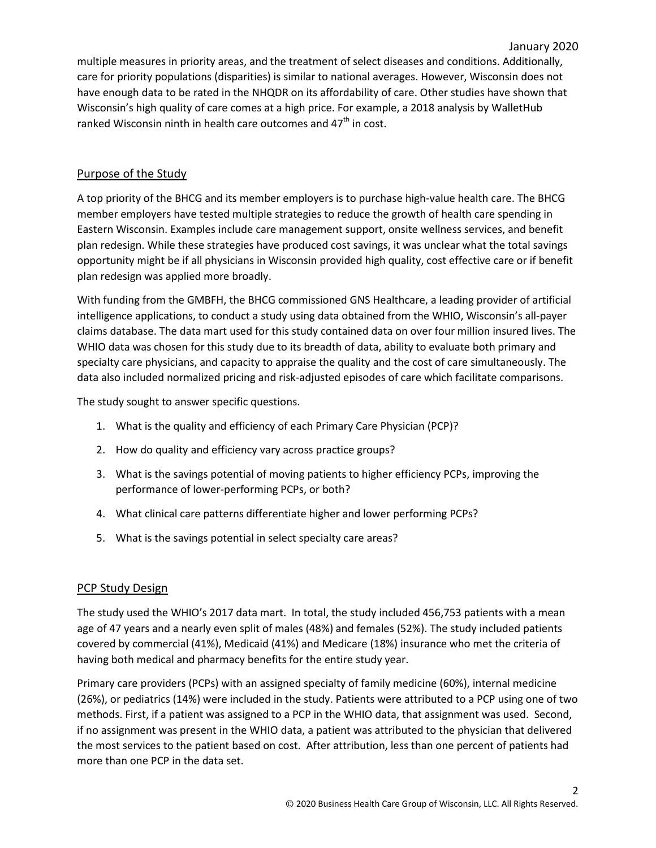multiple measures in priority areas, and the treatment of select diseases and conditions. Additionally, care for priority populations (disparities) is similar to national averages. However, Wisconsin does not have enough data to be rated in the NHQDR on its affordability of care. Other studies have shown that Wisconsin's high quality of care comes at a high price. For example, a 2018 analysis by WalletHub ranked Wisconsin ninth in health care outcomes and  $47<sup>th</sup>$  in cost.

## Purpose of the Study

A top priority of the BHCG and its member employers is to purchase high-value health care. The BHCG member employers have tested multiple strategies to reduce the growth of health care spending in Eastern Wisconsin. Examples include care management support, onsite wellness services, and benefit plan redesign. While these strategies have produced cost savings, it was unclear what the total savings opportunity might be if all physicians in Wisconsin provided high quality, cost effective care or if benefit plan redesign was applied more broadly.

With funding from the GMBFH, the BHCG commissioned GNS Healthcare, a leading provider of artificial intelligence applications, to conduct a study using data obtained from the WHIO, Wisconsin's all-payer claims database. The data mart used for this study contained data on over four million insured lives. The WHIO data was chosen for this study due to its breadth of data, ability to evaluate both primary and specialty care physicians, and capacity to appraise the quality and the cost of care simultaneously. The data also included normalized pricing and risk-adjusted episodes of care which facilitate comparisons.

The study sought to answer specific questions.

- 1. What is the quality and efficiency of each Primary Care Physician (PCP)?
- 2. How do quality and efficiency vary across practice groups?
- 3. What is the savings potential of moving patients to higher efficiency PCPs, improving the performance of lower-performing PCPs, or both?
- 4. What clinical care patterns differentiate higher and lower performing PCPs?
- 5. What is the savings potential in select specialty care areas?

## **PCP Study Design**

The study used the WHIO's 2017 data mart. In total, the study included 456,753 patients with a mean age of 47 years and a nearly even split of males (48%) and females (52%). The study included patients covered by commercial (41%), Medicaid (41%) and Medicare (18%) insurance who met the criteria of having both medical and pharmacy benefits for the entire study year.

Primary care providers (PCPs) with an assigned specialty of family medicine (60%), internal medicine (26%), or pediatrics (14%) were included in the study. Patients were attributed to a PCP using one of two methods. First, if a patient was assigned to a PCP in the WHIO data, that assignment was used. Second, if no assignment was present in the WHIO data, a patient was attributed to the physician that delivered the most services to the patient based on cost. After attribution, less than one percent of patients had more than one PCP in the data set.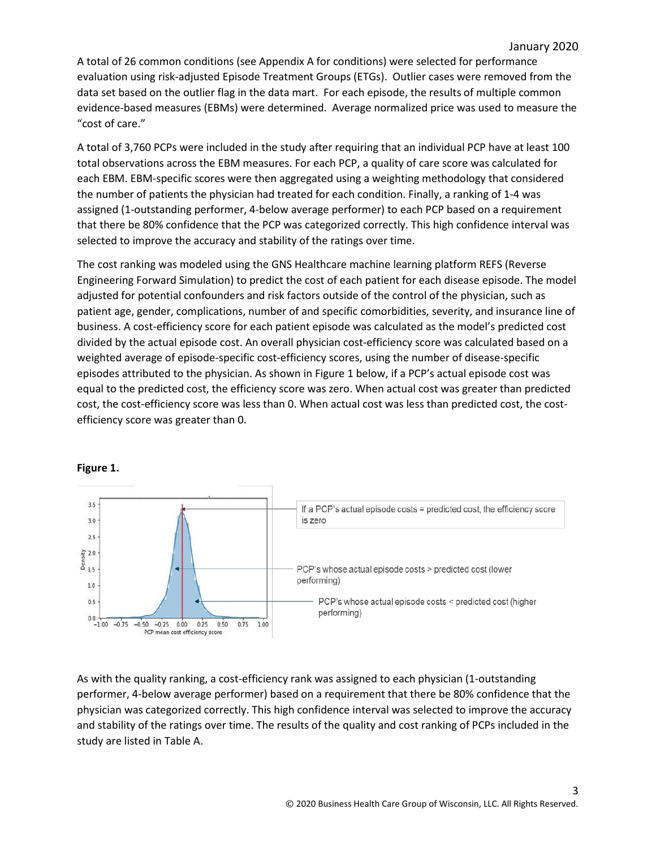A total of 26 common conditions (see Appendix A for conditions) were selected for performance evaluation using risk-adjusted Episode Treatment Groups (ETGs). Outlier cases were removed from the data set based on the outlier flag in the data mart. For each episode, the results of multiple common evidence-based measures (EBMs) were determined. Average normalized price was used to measure the "cost of care."

A total of 3,760 PCPs were included in the study after requiring that an individual PCP have at least 100 total observations across the EBM measures. For each PCP, a quality of care score was calculated for each EBM. EBM-specific scores were then aggregated using a weighting methodology that considered the number of patients the physician had treated for each condition. Finally, a ranking of 1-4 was assigned (1-outstanding performer, 4-below average performer) to each PCP based on a requirement that there be 80% confidence that the PCP was categorized correctly. This high confidence interval was selected to improve the accuracy and stability of the ratings over time.

The cost ranking was modeled using the GNS Healthcare machine learning platform REFS (Reverse Engineering Forward Simulation) to predict the cost of each patient for each disease episode. The model adjusted for potential confounders and risk factors outside of the control of the physician, such as patient age, gender, complications, number of and specific comorbidities, severity, and insurance line of business. A cost-efficiency score for each patient episode was calculated as the model's predicted cost divided by the actual episode cost. An overall physician cost-efficiency score was calculated based on a weighted average of episode-specific cost-efficiency scores, using the number of disease-specific episodes attributed to the physician. As shown in Figure 1 below, if a PCP's actual episode cost was equal to the predicted cost, the efficiency score was zero. When actual cost was greater than predicted cost, the cost-efficiency score was less than 0. When actual cost was less than predicted cost, the costefficiency score was greater than 0.



**Figure 1.**

As with the quality ranking, a cost-efficiency rank was assigned to each physician (1-outstanding performer, 4-below average performer) based on a requirement that there be 80% confidence that the physician was categorized correctly. This high confidence interval was selected to improve the accuracy and stability of the ratings over time. The results of the quality and cost ranking of PCPs included in the study are listed in Table A.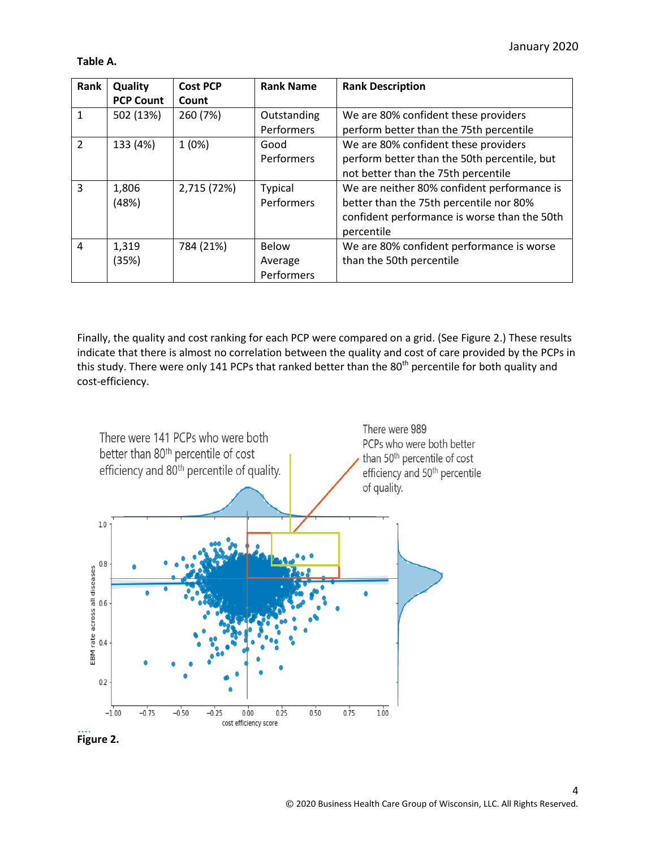#### **Table A.**

| Rank           | Quality          | <b>Cost PCP</b> | <b>Rank Name</b>  | <b>Rank Description</b>                      |
|----------------|------------------|-----------------|-------------------|----------------------------------------------|
|                | <b>PCP Count</b> | Count           |                   |                                              |
| $\mathbf{1}$   | 502 (13%)        | 260 (7%)        | Outstanding       | We are 80% confident these providers         |
|                |                  |                 | Performers        | perform better than the 75th percentile      |
| $\overline{2}$ | 133 (4%)         | 1(0%)           | Good              | We are 80% confident these providers         |
|                |                  |                 | <b>Performers</b> | perform better than the 50th percentile, but |
|                |                  |                 |                   | not better than the 75th percentile          |
| 3              | 1,806            | 2,715 (72%)     | <b>Typical</b>    | We are neither 80% confident performance is  |
|                | (48%)            |                 | Performers        | better than the 75th percentile nor 80%      |
|                |                  |                 |                   | confident performance is worse than the 50th |
|                |                  |                 |                   | percentile                                   |
| $\overline{4}$ | 1,319            | 784 (21%)       | Below             | We are 80% confident performance is worse    |
|                | (35%)            |                 | Average           | than the 50th percentile                     |
|                |                  |                 | Performers        |                                              |

Finally, the quality and cost ranking for each PCP were compared on a grid. (See Figure 2.) These results indicate that there is almost no correlation between the quality and cost of care provided by the PCPs in this study. There were only 141 PCPs that ranked better than the 80<sup>th</sup> percentile for both quality and cost-efficiency.



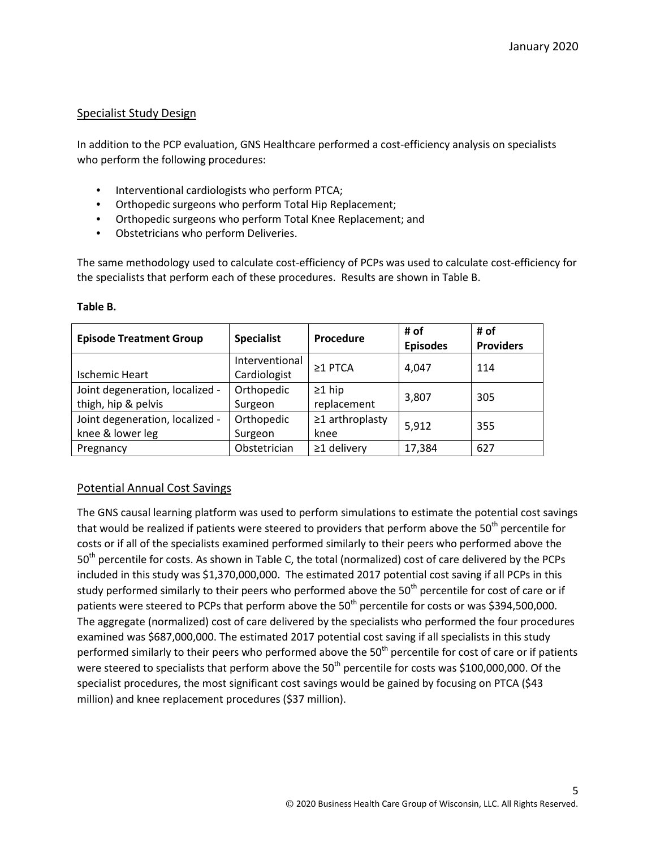#### Specialist Study Design

In addition to the PCP evaluation, GNS Healthcare performed a cost-efficiency analysis on specialists who perform the following procedures:

- Interventional cardiologists who perform PTCA;
- Orthopedic surgeons who perform Total Hip Replacement;
- Orthopedic surgeons who perform Total Knee Replacement; and
- Obstetricians who perform Deliveries.

The same methodology used to calculate cost-efficiency of PCPs was used to calculate cost-efficiency for the specialists that perform each of these procedures. Results are shown in Table B.

| <b>Episode Treatment Group</b>  | <b>Specialist</b> | Procedure             | # of<br><b>Episodes</b> | # of<br><b>Providers</b> |
|---------------------------------|-------------------|-----------------------|-------------------------|--------------------------|
|                                 | Interventional    | $\geq$ 1 PTCA         | 4,047                   | 114                      |
| <b>Ischemic Heart</b>           | Cardiologist      |                       |                         |                          |
| Joint degeneration, localized - | Orthopedic        | $\geq$ 1 hip          | 3,807                   | 305                      |
| thigh, hip & pelvis             | Surgeon           | replacement           |                         |                          |
| Joint degeneration, localized - | Orthopedic        | $\geq$ 1 arthroplasty | 5,912                   | 355                      |
| knee & lower leg                | Surgeon           | knee                  |                         |                          |
| Pregnancy                       | Obstetrician      | $\geq$ 1 delivery     | 17,384                  | 627                      |

#### **Table B.**

## Potential Annual Cost Savings

The GNS causal learning platform was used to perform simulations to estimate the potential cost savings that would be realized if patients were steered to providers that perform above the 50<sup>th</sup> percentile for costs or if all of the specialists examined performed similarly to their peers who performed above the 50<sup>th</sup> percentile for costs. As shown in Table C, the total (normalized) cost of care delivered by the PCPs included in this study was \$1,370,000,000. The estimated 2017 potential cost saving if all PCPs in this study performed similarly to their peers who performed above the 50<sup>th</sup> percentile for cost of care or if patients were steered to PCPs that perform above the  $50<sup>th</sup>$  percentile for costs or was \$394,500,000. The aggregate (normalized) cost of care delivered by the specialists who performed the four procedures examined was \$687,000,000. The estimated 2017 potential cost saving if all specialists in this study performed similarly to their peers who performed above the 50<sup>th</sup> percentile for cost of care or if patients were steered to specialists that perform above the  $50<sup>th</sup>$  percentile for costs was \$100,000,000. Of the specialist procedures, the most significant cost savings would be gained by focusing on PTCA (\$43 million) and knee replacement procedures (\$37 million).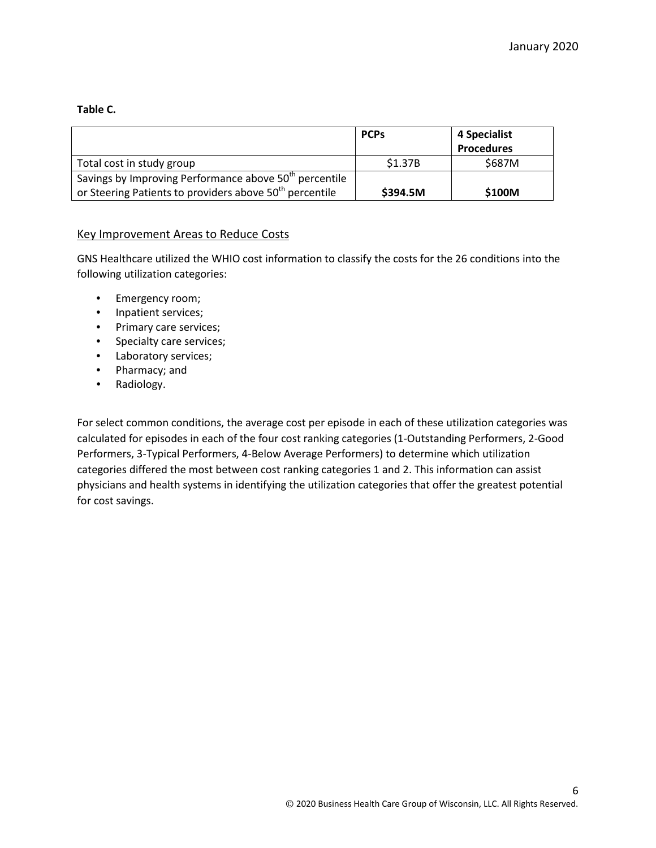#### **Table C.**

|                                                                    | <b>PCPs</b> | 4 Specialist      |
|--------------------------------------------------------------------|-------------|-------------------|
|                                                                    |             | <b>Procedures</b> |
| Total cost in study group                                          | \$1.37B     | \$687M            |
| Savings by Improving Performance above 50 <sup>th</sup> percentile |             |                   |
| or Steering Patients to providers above $50th$ percentile          | \$394.5M    | \$100M            |

#### Key Improvement Areas to Reduce Costs

GNS Healthcare utilized the WHIO cost information to classify the costs for the 26 conditions into the following utilization categories:

- Emergency room;
- Inpatient services;
- Primary care services;
- Specialty care services;
- Laboratory services;
- Pharmacy; and
- Radiology.

For select common conditions, the average cost per episode in each of these utilization categories was calculated for episodes in each of the four cost ranking categories (1-Outstanding Performers, 2-Good Performers, 3-Typical Performers, 4-Below Average Performers) to determine which utilization categories differed the most between cost ranking categories 1 and 2. This information can assist physicians and health systems in identifying the utilization categories that offer the greatest potential for cost savings.